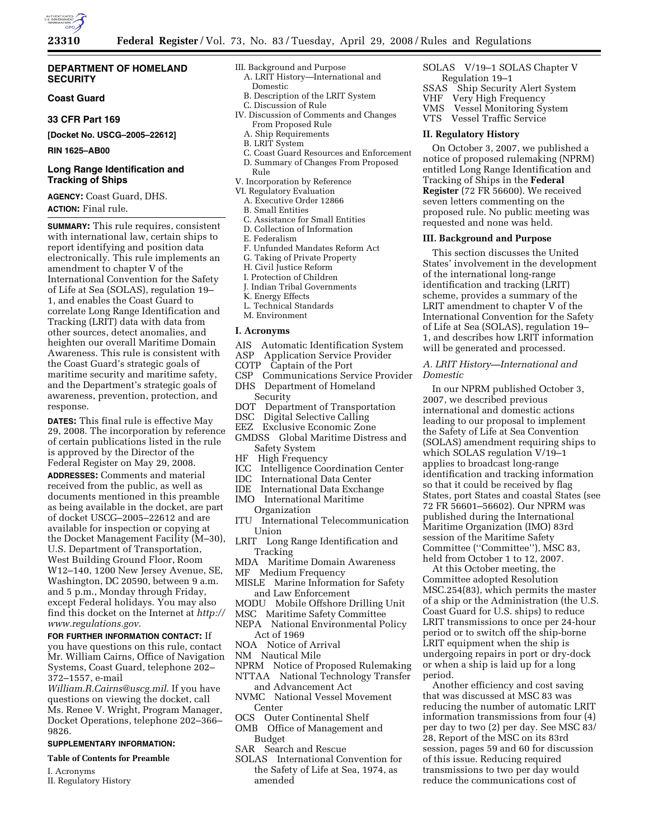

### **DEPARTMENT OF HOMELAND SECURITY**

# **Coast Guard**

# **33 CFR Part 169**

**[Docket No. USCG–2005–22612]** 

**RIN 1625–AB00** 

# **Long Range Identification and Tracking of Ships**

**AGENCY:** Coast Guard, DHS. **ACTION:** Final rule.

**SUMMARY:** This rule requires, consistent with international law, certain ships to report identifying and position data electronically. This rule implements an amendment to chapter V of the International Convention for the Safety of Life at Sea (SOLAS), regulation 19– 1, and enables the Coast Guard to correlate Long Range Identification and Tracking (LRIT) data with data from other sources, detect anomalies, and heighten our overall Maritime Domain Awareness. This rule is consistent with the Coast Guard's strategic goals of maritime security and maritime safety, and the Department's strategic goals of awareness, prevention, protection, and response.

**DATES:** This final rule is effective May 29, 2008. The incorporation by reference of certain publications listed in the rule is approved by the Director of the Federal Register on May 29, 2008. **ADDRESSES:** Comments and material received from the public, as well as documents mentioned in this preamble as being available in the docket, are part of docket USCG–2005–22612 and are available for inspection or copying at the Docket Management Facility (M–30), U.S. Department of Transportation, West Building Ground Floor, Room W12–140, 1200 New Jersey Avenue, SE, Washington, DC 20590, between 9 a.m. and 5 p.m., Monday through Friday, except Federal holidays. You may also find this docket on the Internet at *http:// www.regulations.gov*.

# **FOR FURTHER INFORMATION CONTACT:** If

you have questions on this rule, contact Mr. William Cairns, Office of Navigation Systems, Coast Guard, telephone 202– 372–1557, e-mail

*William.R.Cairns@uscg.mil*. If you have questions on viewing the docket, call Ms. Renee V. Wright, Program Manager, Docket Operations, telephone 202–366– 9826.

#### **SUPPLEMENTARY INFORMATION:**

**Table of Contents for Preamble** 

- I. Acronyms
- II. Regulatory History
- III. Background and Purpose
	- A. LRIT History—International and Domestic
	- B. Description of the LRIT System C. Discussion of Rule
	- IV. Discussion of Comments and Changes
	- From Proposed Rule A. Ship Requirements
	- B. LRIT System
	-
	- C. Coast Guard Resources and Enforcement D. Summary of Changes From Proposed Rule
	- V. Incorporation by Reference
	- VI. Regulatory Evaluation
	- A. Executive Order 12866
	- B. Small Entities
	- C. Assistance for Small Entities
	- D. Collection of Information
	- E. Federalism
	- F. Unfunded Mandates Reform Act
	- G. Taking of Private Property
	- H. Civil Justice Reform
	- I. Protection of Children
	- J. Indian Tribal Governments
	- K. Energy Effects
	- L. Technical Standards
	- M. Environment

#### **I. Acronyms**

- AIS Automatic Identification System<br>ASP Application Service Provider
- ASP Application Service Provider<br>COTP Captain of the Port
- Captain of the Port
- CSP Communications Service Provider DHS Department of Homeland
- Security<br>DOT Depar
- DOT Department of Transportation<br>DSC Digital Selective Calling Digital Selective Calling
- EEZ Exclusive Economic Zone
- GMDSS Global Maritime Distress and Safety System
- HF High Frequency
- ICC Intelligence Coordination Center<br>IDC International Data Center
- IDC International Data Center
- International Data Exchange
- IMO International Maritime **Organization**
- ITU International Telecommunication Union
- LRIT Long Range Identification and Tracking
- MDA Maritime Domain Awareness
- MF Medium Frequency
- MISLE Marine Information for Safety and Law Enforcement
- MODU Mobile Offshore Drilling Unit
- MSC Maritime Safety Committee
- NEPA National Environmental Policy Act of 1969
- NOA Notice of Arrival
- NM Nautical Mile
- NPRM Notice of Proposed Rulemaking
- NTTAA National Technology Transfer and Advancement Act
- NVMC National Vessel Movement
- Center OCS Outer Continental Shelf
- OMB Office of Management and Budget
- SAR Search and Rescue
- SOLAS International Convention for the Safety of Life at Sea, 1974, as amended
- SOLAS V/19–1 SOLAS Chapter V
- Regulation 19–1<br>SSAS Ship Security Ship Security Alert System VHF Very High Frequency VMS Vessel Monitoring System
- VTS Vessel Traffic Service

# **II. Regulatory History**

On October 3, 2007, we published a notice of proposed rulemaking (NPRM) entitled Long Range Identification and Tracking of Ships in the **Federal Register** (72 FR 56600). We received seven letters commenting on the proposed rule. No public meeting was requested and none was held.

#### **III. Background and Purpose**

This section discusses the United States' involvement in the development of the international long-range identification and tracking (LRIT) scheme, provides a summary of the LRIT amendment to chapter V of the International Convention for the Safety of Life at Sea (SOLAS), regulation 19– 1, and describes how LRIT information will be generated and processed.

# *A. LRIT History—International and Domestic*

In our NPRM published October 3, 2007, we described previous international and domestic actions leading to our proposal to implement the Safety of Life at Sea Convention (SOLAS) amendment requiring ships to which SOLAS regulation V/19–1 applies to broadcast long-range identification and tracking information so that it could be received by flag States, port States and coastal States (see 72 FR 56601–56602). Our NPRM was published during the International Maritime Organization (IMO) 83rd session of the Maritime Safety Committee (''Committee''), MSC 83, held from October 1 to 12, 2007.

At this October meeting, the Committee adopted Resolution MSC.254(83), which permits the master of a ship or the Administration (the U.S. Coast Guard for U.S. ships) to reduce LRIT transmissions to once per 24-hour period or to switch off the ship-borne LRIT equipment when the ship is undergoing repairs in port or dry-dock or when a ship is laid up for a long period.

Another efficiency and cost saving that was discussed at MSC 83 was reducing the number of automatic LRIT information transmissions from four (4) per day to two (2) per day. See MSC 83/ 28, Report of the MSC on its 83rd session, pages 59 and 60 for discussion of this issue. Reducing required transmissions to two per day would reduce the communications cost of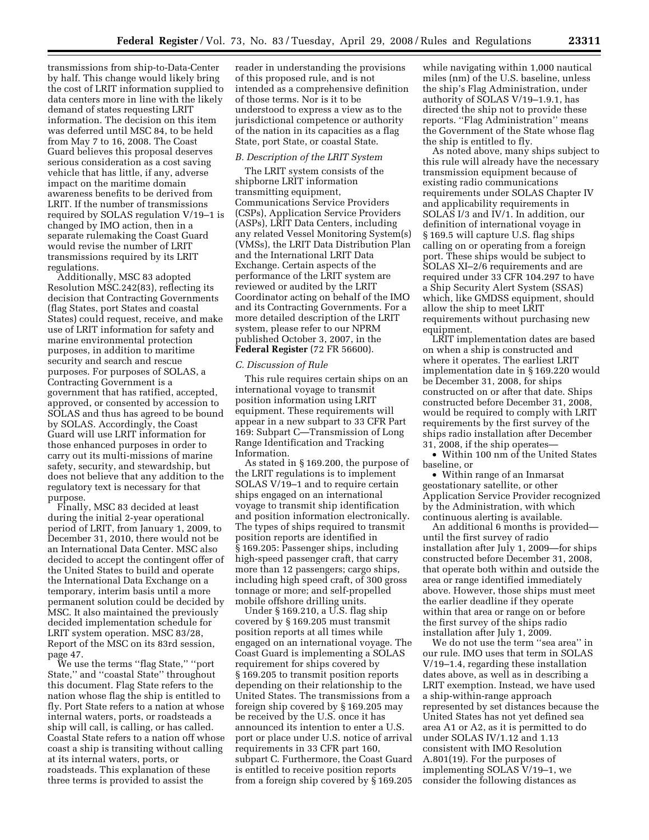transmissions from ship-to-Data-Center by half. This change would likely bring the cost of LRIT information supplied to data centers more in line with the likely demand of states requesting LRIT information. The decision on this item was deferred until MSC 84, to be held from May 7 to 16, 2008. The Coast Guard believes this proposal deserves serious consideration as a cost saving vehicle that has little, if any, adverse impact on the maritime domain awareness benefits to be derived from LRIT. If the number of transmissions required by SOLAS regulation V/19–1 is changed by IMO action, then in a separate rulemaking the Coast Guard would revise the number of LRIT transmissions required by its LRIT regulations.

Additionally, MSC 83 adopted Resolution MSC.242(83), reflecting its decision that Contracting Governments (flag States, port States and coastal States) could request, receive, and make use of LRIT information for safety and marine environmental protection purposes, in addition to maritime security and search and rescue purposes. For purposes of SOLAS, a Contracting Government is a government that has ratified, accepted, approved, or consented by accession to SOLAS and thus has agreed to be bound by SOLAS. Accordingly, the Coast Guard will use LRIT information for those enhanced purposes in order to carry out its multi-missions of marine safety, security, and stewardship, but does not believe that any addition to the regulatory text is necessary for that purpose.

Finally, MSC 83 decided at least during the initial 2-year operational period of LRIT, from January 1, 2009, to December 31, 2010, there would not be an International Data Center. MSC also decided to accept the contingent offer of the United States to build and operate the International Data Exchange on a temporary, interim basis until a more permanent solution could be decided by MSC. It also maintained the previously decided implementation schedule for LRIT system operation. MSC 83/28, Report of the MSC on its 83rd session, page 47.

We use the terms ''flag State,'' ''port State,'' and ''coastal State'' throughout this document. Flag State refers to the nation whose flag the ship is entitled to fly. Port State refers to a nation at whose internal waters, ports, or roadsteads a ship will call, is calling, or has called. Coastal State refers to a nation off whose coast a ship is transiting without calling at its internal waters, ports, or roadsteads. This explanation of these three terms is provided to assist the

reader in understanding the provisions of this proposed rule, and is not intended as a comprehensive definition of those terms. Nor is it to be understood to express a view as to the jurisdictional competence or authority of the nation in its capacities as a flag State, port State, or coastal State.

## *B. Description of the LRIT System*

The LRIT system consists of the shipborne LRIT information transmitting equipment, Communications Service Providers (CSPs), Application Service Providers (ASPs), LRIT Data Centers, including any related Vessel Monitoring System(s) (VMSs), the LRIT Data Distribution Plan and the International LRIT Data Exchange. Certain aspects of the performance of the LRIT system are reviewed or audited by the LRIT Coordinator acting on behalf of the IMO and its Contracting Governments. For a more detailed description of the LRIT system, please refer to our NPRM published October 3, 2007, in the **Federal Register** (72 FR 56600).

#### *C. Discussion of Rule*

This rule requires certain ships on an international voyage to transmit position information using LRIT equipment. These requirements will appear in a new subpart to 33 CFR Part 169: Subpart C—Transmission of Long Range Identification and Tracking Information.

As stated in § 169.200, the purpose of the LRIT regulations is to implement SOLAS V/19–1 and to require certain ships engaged on an international voyage to transmit ship identification and position information electronically. The types of ships required to transmit position reports are identified in § 169.205: Passenger ships, including high-speed passenger craft, that carry more than 12 passengers; cargo ships, including high speed craft, of 300 gross tonnage or more; and self-propelled mobile offshore drilling units.

Under § 169.210, a U.S. flag ship covered by § 169.205 must transmit position reports at all times while engaged on an international voyage. The Coast Guard is implementing a SOLAS requirement for ships covered by § 169.205 to transmit position reports depending on their relationship to the United States. The transmissions from a foreign ship covered by § 169.205 may be received by the U.S. once it has announced its intention to enter a U.S. port or place under U.S. notice of arrival requirements in 33 CFR part 160, subpart C. Furthermore, the Coast Guard is entitled to receive position reports from a foreign ship covered by § 169.205

while navigating within 1,000 nautical miles (nm) of the U.S. baseline, unless the ship's Flag Administration, under authority of SOLAS V/19–1.9.1, has directed the ship not to provide these reports. ''Flag Administration'' means the Government of the State whose flag the ship is entitled to fly.

As noted above, many ships subject to this rule will already have the necessary transmission equipment because of existing radio communications requirements under SOLAS Chapter IV and applicability requirements in SOLAS I/3 and IV/1. In addition, our definition of international voyage in § 169.5 will capture U.S. flag ships calling on or operating from a foreign port. These ships would be subject to SOLAS XI–2/6 requirements and are required under 33 CFR 104.297 to have a Ship Security Alert System (SSAS) which, like GMDSS equipment, should allow the ship to meet LRIT requirements without purchasing new equipment.

LRIT implementation dates are based on when a ship is constructed and where it operates. The earliest LRIT implementation date in § 169.220 would be December 31, 2008, for ships constructed on or after that date. Ships constructed before December 31, 2008, would be required to comply with LRIT requirements by the first survey of the ships radio installation after December 31, 2008, if the ship operates—

• Within 100 nm of the United States baseline, or

• Within range of an Inmarsat geostationary satellite, or other Application Service Provider recognized by the Administration, with which continuous alerting is available.

An additional 6 months is provided until the first survey of radio installation after July 1, 2009—for ships constructed before December 31, 2008, that operate both within and outside the area or range identified immediately above. However, those ships must meet the earlier deadline if they operate within that area or range on or before the first survey of the ships radio installation after July 1, 2009.

We do not use the term ''sea area'' in our rule. IMO uses that term in SOLAS V/19–1.4, regarding these installation dates above, as well as in describing a LRIT exemption. Instead, we have used a ship-within-range approach represented by set distances because the United States has not yet defined sea area A1 or A2, as it is permitted to do under SOLAS IV/1.12 and 1.13 consistent with IMO Resolution A.801(19). For the purposes of implementing SOLAS V/19–1, we consider the following distances as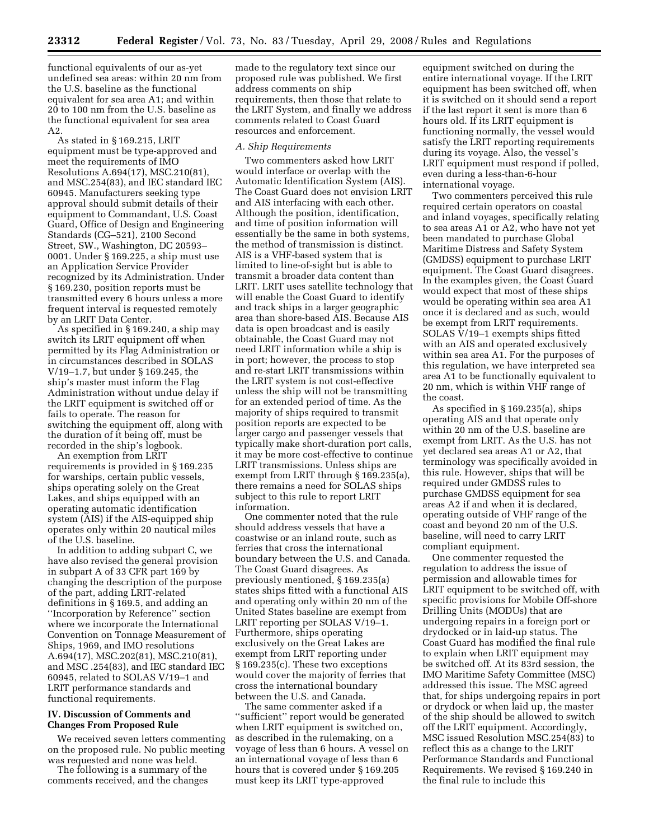functional equivalents of our as-yet undefined sea areas: within 20 nm from the U.S. baseline as the functional equivalent for sea area A1; and within 20 to 100 nm from the U.S. baseline as the functional equivalent for sea area A2.

As stated in § 169.215, LRIT equipment must be type-approved and meet the requirements of IMO Resolutions A.694(17), MSC.210(81), and MSC.254(83), and IEC standard IEC 60945. Manufacturers seeking type approval should submit details of their equipment to Commandant, U.S. Coast Guard, Office of Design and Engineering Standards (CG–521), 2100 Second Street, SW., Washington, DC 20593– 0001. Under § 169.225, a ship must use an Application Service Provider recognized by its Administration. Under § 169.230, position reports must be transmitted every 6 hours unless a more frequent interval is requested remotely by an LRIT Data Center.

As specified in § 169.240, a ship may switch its LRIT equipment off when permitted by its Flag Administration or in circumstances described in SOLAS V/19–1.7, but under § 169.245, the ship's master must inform the Flag Administration without undue delay if the LRIT equipment is switched off or fails to operate. The reason for switching the equipment off, along with the duration of it being off, must be recorded in the ship's logbook.

An exemption from LRIT requirements is provided in § 169.235 for warships, certain public vessels, ships operating solely on the Great Lakes, and ships equipped with an operating automatic identification system (AIS) if the AIS-equipped ship operates only within 20 nautical miles of the U.S. baseline.

In addition to adding subpart C, we have also revised the general provision in subpart A of 33 CFR part 169 by changing the description of the purpose of the part, adding LRIT-related definitions in § 169.5, and adding an ''Incorporation by Reference'' section where we incorporate the International Convention on Tonnage Measurement of Ships, 1969, and IMO resolutions A.694(17), MSC.202(81), MSC.210(81), and MSC .254(83), and IEC standard IEC 60945, related to SOLAS V/19–1 and LRIT performance standards and functional requirements.

# **IV. Discussion of Comments and Changes From Proposed Rule**

We received seven letters commenting on the proposed rule. No public meeting was requested and none was held.

The following is a summary of the comments received, and the changes made to the regulatory text since our proposed rule was published. We first address comments on ship requirements, then those that relate to the LRIT System, and finally we address comments related to Coast Guard resources and enforcement.

#### *A. Ship Requirements*

Two commenters asked how LRIT would interface or overlap with the Automatic Identification System (AIS). The Coast Guard does not envision LRIT and AIS interfacing with each other. Although the position, identification, and time of position information will essentially be the same in both systems, the method of transmission is distinct. AIS is a VHF-based system that is limited to line-of-sight but is able to transmit a broader data content than LRIT. LRIT uses satellite technology that will enable the Coast Guard to identify and track ships in a larger geographic area than shore-based AIS. Because AIS data is open broadcast and is easily obtainable, the Coast Guard may not need LRIT information while a ship is in port; however, the process to stop and re-start LRIT transmissions within the LRIT system is not cost-effective unless the ship will not be transmitting for an extended period of time. As the majority of ships required to transmit position reports are expected to be larger cargo and passenger vessels that typically make short-duration port calls, it may be more cost-effective to continue LRIT transmissions. Unless ships are exempt from LRIT through § 169.235(a), there remains a need for SOLAS ships subject to this rule to report LRIT information.

One commenter noted that the rule should address vessels that have a coastwise or an inland route, such as ferries that cross the international boundary between the U.S. and Canada. The Coast Guard disagrees. As previously mentioned, § 169.235(a) states ships fitted with a functional AIS and operating only within 20 nm of the United States baseline are exempt from LRIT reporting per SOLAS V/19–1. Furthermore, ships operating exclusively on the Great Lakes are exempt from LRIT reporting under § 169.235(c). These two exceptions would cover the majority of ferries that cross the international boundary between the U.S. and Canada.

The same commenter asked if a ''sufficient'' report would be generated when LRIT equipment is switched on, as described in the rulemaking, on a voyage of less than 6 hours. A vessel on an international voyage of less than 6 hours that is covered under § 169.205 must keep its LRIT type-approved

equipment switched on during the entire international voyage. If the LRIT equipment has been switched off, when it is switched on it should send a report if the last report it sent is more than 6 hours old. If its LRIT equipment is functioning normally, the vessel would satisfy the LRIT reporting requirements during its voyage. Also, the vessel's LRIT equipment must respond if polled, even during a less-than-6-hour international voyage.

Two commenters perceived this rule required certain operators on coastal and inland voyages, specifically relating to sea areas A1 or A2, who have not yet been mandated to purchase Global Maritime Distress and Safety System (GMDSS) equipment to purchase LRIT equipment. The Coast Guard disagrees. In the examples given, the Coast Guard would expect that most of these ships would be operating within sea area A1 once it is declared and as such, would be exempt from LRIT requirements. SOLAS V/19–1 exempts ships fitted with an AIS and operated exclusively within sea area A1. For the purposes of this regulation, we have interpreted sea area A1 to be functionally equivalent to 20 nm, which is within VHF range of the coast.

As specified in § 169.235(a), ships operating AIS and that operate only within 20 nm of the U.S. baseline are exempt from LRIT. As the U.S. has not yet declared sea areas A1 or A2, that terminology was specifically avoided in this rule. However, ships that will be required under GMDSS rules to purchase GMDSS equipment for sea areas A2 if and when it is declared, operating outside of VHF range of the coast and beyond 20 nm of the U.S. baseline, will need to carry LRIT compliant equipment.

One commenter requested the regulation to address the issue of permission and allowable times for LRIT equipment to be switched off, with specific provisions for Mobile Off-shore Drilling Units (MODUs) that are undergoing repairs in a foreign port or drydocked or in laid-up status. The Coast Guard has modified the final rule to explain when LRIT equipment may be switched off. At its 83rd session, the IMO Maritime Safety Committee (MSC) addressed this issue. The MSC agreed that, for ships undergoing repairs in port or drydock or when laid up, the master of the ship should be allowed to switch off the LRIT equipment. Accordingly, MSC issued Resolution MSC.254(83) to reflect this as a change to the LRIT Performance Standards and Functional Requirements. We revised § 169.240 in the final rule to include this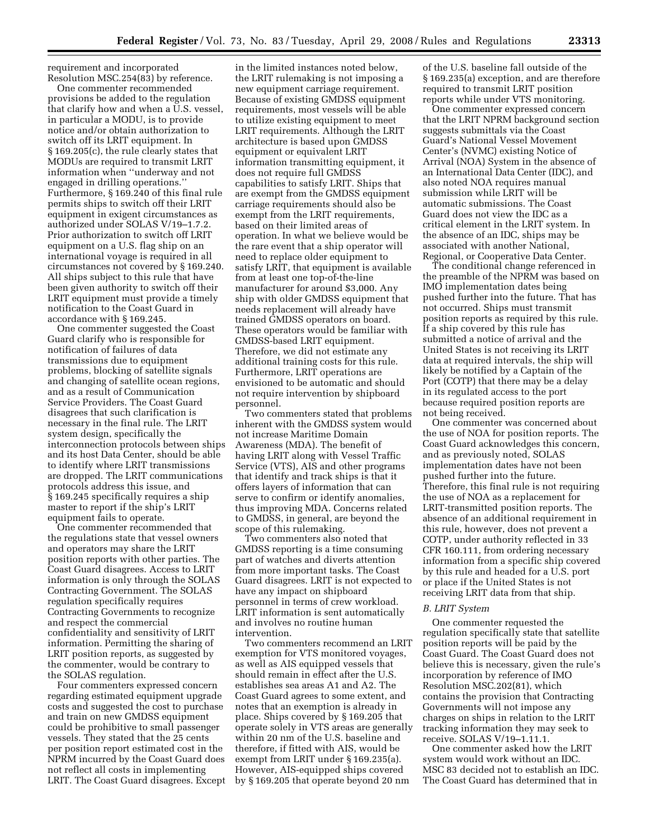requirement and incorporated Resolution MSC.254(83) by reference.

One commenter recommended provisions be added to the regulation that clarify how and when a U.S. vessel, in particular a MODU, is to provide notice and/or obtain authorization to switch off its LRIT equipment. In § 169.205(c), the rule clearly states that MODUs are required to transmit LRIT information when ''underway and not engaged in drilling operations.'' Furthermore, § 169.240 of this final rule permits ships to switch off their LRIT equipment in exigent circumstances as authorized under SOLAS V/19–1.7.2. Prior authorization to switch off LRIT equipment on a U.S. flag ship on an international voyage is required in all circumstances not covered by § 169.240. All ships subject to this rule that have been given authority to switch off their LRIT equipment must provide a timely notification to the Coast Guard in accordance with § 169.245.

One commenter suggested the Coast Guard clarify who is responsible for notification of failures of data transmissions due to equipment problems, blocking of satellite signals and changing of satellite ocean regions, and as a result of Communication Service Providers. The Coast Guard disagrees that such clarification is necessary in the final rule. The LRIT system design, specifically the interconnection protocols between ships and its host Data Center, should be able to identify where LRIT transmissions are dropped. The LRIT communications protocols address this issue, and § 169.245 specifically requires a ship master to report if the ship's LRIT equipment fails to operate.

One commenter recommended that the regulations state that vessel owners and operators may share the LRIT position reports with other parties. The Coast Guard disagrees. Access to LRIT information is only through the SOLAS Contracting Government. The SOLAS regulation specifically requires Contracting Governments to recognize and respect the commercial confidentiality and sensitivity of LRIT information. Permitting the sharing of LRIT position reports, as suggested by the commenter, would be contrary to the SOLAS regulation.

Four commenters expressed concern regarding estimated equipment upgrade costs and suggested the cost to purchase and train on new GMDSS equipment could be prohibitive to small passenger vessels. They stated that the 25 cents per position report estimated cost in the NPRM incurred by the Coast Guard does not reflect all costs in implementing LRIT. The Coast Guard disagrees. Except

in the limited instances noted below, the LRIT rulemaking is not imposing a new equipment carriage requirement. Because of existing GMDSS equipment requirements, most vessels will be able to utilize existing equipment to meet LRIT requirements. Although the LRIT architecture is based upon GMDSS equipment or equivalent LRIT information transmitting equipment, it does not require full GMDSS capabilities to satisfy LRIT. Ships that are exempt from the GMDSS equipment carriage requirements should also be exempt from the LRIT requirements, based on their limited areas of operation. In what we believe would be the rare event that a ship operator will need to replace older equipment to satisfy LRIT, that equipment is available from at least one top-of-the-line manufacturer for around \$3,000. Any ship with older GMDSS equipment that needs replacement will already have trained GMDSS operators on board. These operators would be familiar with GMDSS-based LRIT equipment. Therefore, we did not estimate any additional training costs for this rule. Furthermore, LRIT operations are envisioned to be automatic and should not require intervention by shipboard personnel.

Two commenters stated that problems inherent with the GMDSS system would not increase Maritime Domain Awareness (MDA). The benefit of having LRIT along with Vessel Traffic Service (VTS), AIS and other programs that identify and track ships is that it offers layers of information that can serve to confirm or identify anomalies, thus improving MDA. Concerns related to GMDSS, in general, are beyond the scope of this rulemaking.

Two commenters also noted that GMDSS reporting is a time consuming part of watches and diverts attention from more important tasks. The Coast Guard disagrees. LRIT is not expected to have any impact on shipboard personnel in terms of crew workload. LRIT information is sent automatically and involves no routine human intervention.

Two commenters recommend an LRIT exemption for VTS monitored voyages, as well as AIS equipped vessels that should remain in effect after the U.S. establishes sea areas A1 and A2. The Coast Guard agrees to some extent, and notes that an exemption is already in place. Ships covered by § 169.205 that operate solely in VTS areas are generally within 20 nm of the U.S. baseline and therefore, if fitted with AIS, would be exempt from LRIT under § 169.235(a). However, AIS-equipped ships covered by § 169.205 that operate beyond 20 nm

of the U.S. baseline fall outside of the § 169.235(a) exception, and are therefore required to transmit LRIT position reports while under VTS monitoring.

One commenter expressed concern that the LRIT NPRM background section suggests submittals via the Coast Guard's National Vessel Movement Center's (NVMC) existing Notice of Arrival (NOA) System in the absence of an International Data Center (IDC), and also noted NOA requires manual submission while LRIT will be automatic submissions. The Coast Guard does not view the IDC as a critical element in the LRIT system. In the absence of an IDC, ships may be associated with another National, Regional, or Cooperative Data Center.

The conditional change referenced in the preamble of the NPRM was based on IMO implementation dates being pushed further into the future. That has not occurred. Ships must transmit position reports as required by this rule. If a ship covered by this rule has submitted a notice of arrival and the United States is not receiving its LRIT data at required intervals, the ship will likely be notified by a Captain of the Port (COTP) that there may be a delay in its regulated access to the port because required position reports are not being received.

One commenter was concerned about the use of NOA for position reports. The Coast Guard acknowledges this concern, and as previously noted, SOLAS implementation dates have not been pushed further into the future. Therefore, this final rule is not requiring the use of NOA as a replacement for LRIT-transmitted position reports. The absence of an additional requirement in this rule, however, does not prevent a COTP, under authority reflected in 33 CFR 160.111, from ordering necessary information from a specific ship covered by this rule and headed for a U.S. port or place if the United States is not receiving LRIT data from that ship.

#### *B. LRIT System*

One commenter requested the regulation specifically state that satellite position reports will be paid by the Coast Guard. The Coast Guard does not believe this is necessary, given the rule's incorporation by reference of IMO Resolution MSC.202(81), which contains the provision that Contracting Governments will not impose any charges on ships in relation to the LRIT tracking information they may seek to receive. SOLAS V/19–1.11.1.

One commenter asked how the LRIT system would work without an IDC. MSC 83 decided not to establish an IDC. The Coast Guard has determined that in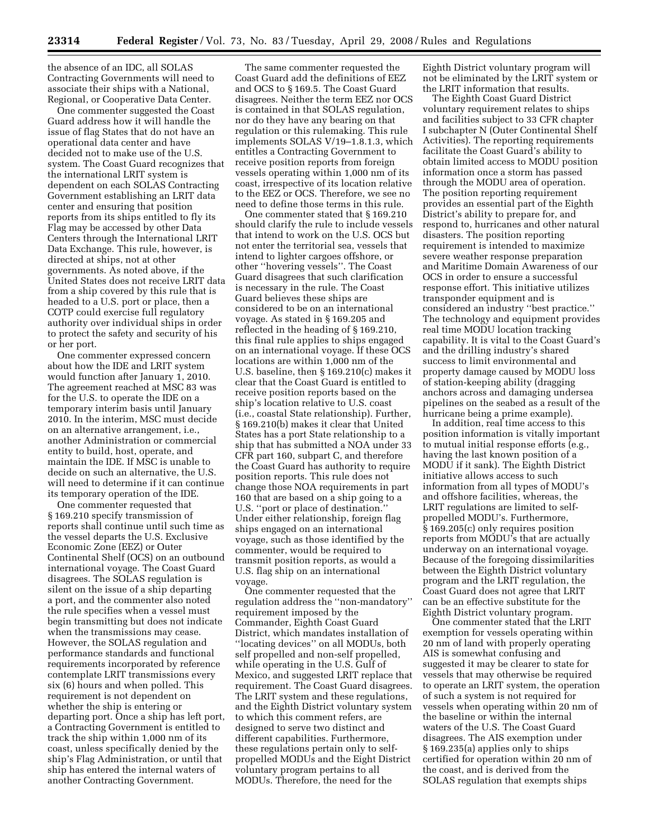the absence of an IDC, all SOLAS Contracting Governments will need to associate their ships with a National, Regional, or Cooperative Data Center.

One commenter suggested the Coast Guard address how it will handle the issue of flag States that do not have an operational data center and have decided not to make use of the U.S. system. The Coast Guard recognizes that the international LRIT system is dependent on each SOLAS Contracting Government establishing an LRIT data center and ensuring that position reports from its ships entitled to fly its Flag may be accessed by other Data Centers through the International LRIT Data Exchange. This rule, however, is directed at ships, not at other governments. As noted above, if the United States does not receive LRIT data from a ship covered by this rule that is headed to a U.S. port or place, then a COTP could exercise full regulatory authority over individual ships in order to protect the safety and security of his or her port.

One commenter expressed concern about how the IDE and LRIT system would function after January 1, 2010. The agreement reached at MSC 83 was for the U.S. to operate the IDE on a temporary interim basis until January 2010. In the interim, MSC must decide on an alternative arrangement, i.e., another Administration or commercial entity to build, host, operate, and maintain the IDE. If MSC is unable to decide on such an alternative, the U.S. will need to determine if it can continue its temporary operation of the IDE.

One commenter requested that § 169.210 specify transmission of reports shall continue until such time as the vessel departs the U.S. Exclusive Economic Zone (EEZ) or Outer Continental Shelf (OCS) on an outbound international voyage. The Coast Guard disagrees. The SOLAS regulation is silent on the issue of a ship departing a port, and the commenter also noted the rule specifies when a vessel must begin transmitting but does not indicate when the transmissions may cease. However, the SOLAS regulation and performance standards and functional requirements incorporated by reference contemplate LRIT transmissions every six (6) hours and when polled. This requirement is not dependent on whether the ship is entering or departing port. Once a ship has left port, a Contracting Government is entitled to track the ship within 1,000 nm of its coast, unless specifically denied by the ship's Flag Administration, or until that ship has entered the internal waters of another Contracting Government.

The same commenter requested the Coast Guard add the definitions of EEZ and OCS to § 169.5. The Coast Guard disagrees. Neither the term EEZ nor OCS is contained in that SOLAS regulation, nor do they have any bearing on that regulation or this rulemaking. This rule implements SOLAS V/19–1.8.1.3, which entitles a Contracting Government to receive position reports from foreign vessels operating within 1,000 nm of its coast, irrespective of its location relative to the EEZ or OCS. Therefore, we see no need to define those terms in this rule.

One commenter stated that § 169.210 should clarify the rule to include vessels that intend to work on the U.S. OCS but not enter the territorial sea, vessels that intend to lighter cargoes offshore, or other ''hovering vessels''. The Coast Guard disagrees that such clarification is necessary in the rule. The Coast Guard believes these ships are considered to be on an international voyage. As stated in § 169.205 and reflected in the heading of § 169.210, this final rule applies to ships engaged on an international voyage. If these OCS locations are within 1,000 nm of the U.S. baseline, then § 169.210(c) makes it clear that the Coast Guard is entitled to receive position reports based on the ship's location relative to U.S. coast (i.e., coastal State relationship). Further, § 169.210(b) makes it clear that United States has a port State relationship to a ship that has submitted a NOA under 33 CFR part 160, subpart C, and therefore the Coast Guard has authority to require position reports. This rule does not change those NOA requirements in part 160 that are based on a ship going to a U.S. "port or place of destination." Under either relationship, foreign flag ships engaged on an international voyage, such as those identified by the commenter, would be required to transmit position reports, as would a U.S. flag ship on an international voyage.

One commenter requested that the regulation address the ''non-mandatory'' requirement imposed by the Commander, Eighth Coast Guard District, which mandates installation of ''locating devices'' on all MODUs, both self propelled and non-self propelled, while operating in the U.S. Gulf of Mexico, and suggested LRIT replace that requirement. The Coast Guard disagrees. The LRIT system and these regulations, and the Eighth District voluntary system to which this comment refers, are designed to serve two distinct and different capabilities. Furthermore, these regulations pertain only to selfpropelled MODUs and the Eight District voluntary program pertains to all MODUs. Therefore, the need for the

Eighth District voluntary program will not be eliminated by the LRIT system or the LRIT information that results.

The Eighth Coast Guard District voluntary requirement relates to ships and facilities subject to 33 CFR chapter I subchapter N (Outer Continental Shelf Activities). The reporting requirements facilitate the Coast Guard's ability to obtain limited access to MODU position information once a storm has passed through the MODU area of operation. The position reporting requirement provides an essential part of the Eighth District's ability to prepare for, and respond to, hurricanes and other natural disasters. The position reporting requirement is intended to maximize severe weather response preparation and Maritime Domain Awareness of our OCS in order to ensure a successful response effort. This initiative utilizes transponder equipment and is considered an industry ''best practice.'' The technology and equipment provides real time MODU location tracking capability. It is vital to the Coast Guard's and the drilling industry's shared success to limit environmental and property damage caused by MODU loss of station-keeping ability (dragging anchors across and damaging undersea pipelines on the seabed as a result of the hurricane being a prime example).

In addition, real time access to this position information is vitally important to mutual initial response efforts (e.g., having the last known position of a MODU if it sank). The Eighth District initiative allows access to such information from all types of MODU's and offshore facilities, whereas, the LRIT regulations are limited to selfpropelled MODU's. Furthermore, § 169.205(c) only requires position reports from MODU's that are actually underway on an international voyage. Because of the foregoing dissimilarities between the Eighth District voluntary program and the LRIT regulation, the Coast Guard does not agree that LRIT can be an effective substitute for the Eighth District voluntary program.

One commenter stated that the LRIT exemption for vessels operating within 20 nm of land with properly operating AIS is somewhat confusing and suggested it may be clearer to state for vessels that may otherwise be required to operate an LRIT system, the operation of such a system is not required for vessels when operating within 20 nm of the baseline or within the internal waters of the U.S. The Coast Guard disagrees. The AIS exemption under § 169.235(a) applies only to ships certified for operation within 20 nm of the coast, and is derived from the SOLAS regulation that exempts ships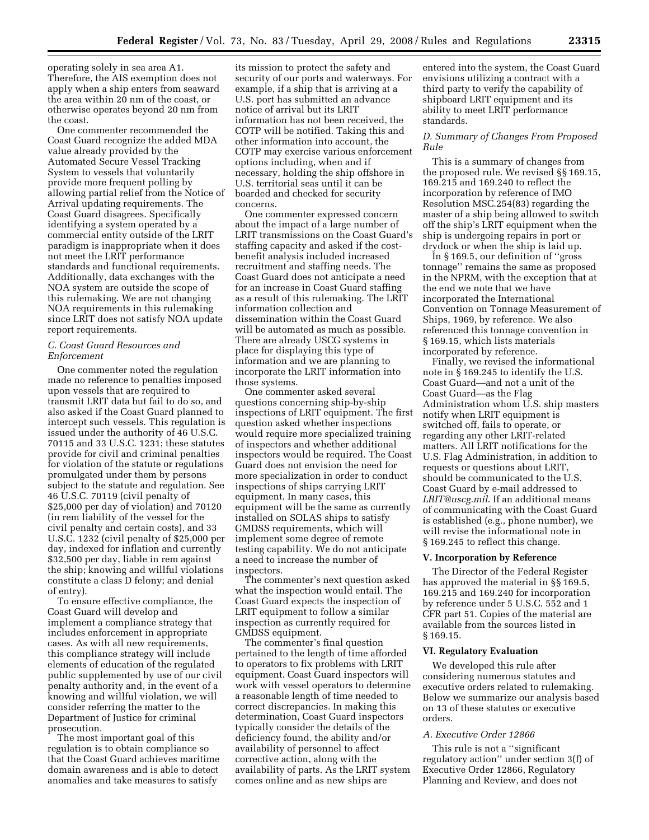operating solely in sea area A1. Therefore, the AIS exemption does not apply when a ship enters from seaward the area within 20 nm of the coast, or otherwise operates beyond 20 nm from the coast.

One commenter recommended the Coast Guard recognize the added MDA value already provided by the Automated Secure Vessel Tracking System to vessels that voluntarily provide more frequent polling by allowing partial relief from the Notice of Arrival updating requirements. The Coast Guard disagrees. Specifically identifying a system operated by a commercial entity outside of the LRIT paradigm is inappropriate when it does not meet the LRIT performance standards and functional requirements. Additionally, data exchanges with the NOA system are outside the scope of this rulemaking. We are not changing NOA requirements in this rulemaking since LRIT does not satisfy NOA update report requirements.

# *C. Coast Guard Resources and Enforcement*

One commenter noted the regulation made no reference to penalties imposed upon vessels that are required to transmit LRIT data but fail to do so, and also asked if the Coast Guard planned to intercept such vessels. This regulation is issued under the authority of 46 U.S.C. 70115 and 33 U.S.C. 1231; these statutes provide for civil and criminal penalties for violation of the statute or regulations promulgated under them by persons subject to the statute and regulation. See 46 U.S.C. 70119 (civil penalty of \$25,000 per day of violation) and 70120 (in rem liability of the vessel for the civil penalty and certain costs), and 33 U.S.C. 1232 (civil penalty of \$25,000 per day, indexed for inflation and currently \$32,500 per day, liable in rem against the ship; knowing and willful violations constitute a class D felony; and denial of entry).

To ensure effective compliance, the Coast Guard will develop and implement a compliance strategy that includes enforcement in appropriate cases. As with all new requirements, this compliance strategy will include elements of education of the regulated public supplemented by use of our civil penalty authority and, in the event of a knowing and willful violation, we will consider referring the matter to the Department of Justice for criminal prosecution.

The most important goal of this regulation is to obtain compliance so that the Coast Guard achieves maritime domain awareness and is able to detect anomalies and take measures to satisfy

its mission to protect the safety and security of our ports and waterways. For example, if a ship that is arriving at a U.S. port has submitted an advance notice of arrival but its LRIT information has not been received, the COTP will be notified. Taking this and other information into account, the COTP may exercise various enforcement options including, when and if necessary, holding the ship offshore in U.S. territorial seas until it can be boarded and checked for security concerns.

One commenter expressed concern about the impact of a large number of LRIT transmissions on the Coast Guard's staffing capacity and asked if the costbenefit analysis included increased recruitment and staffing needs. The Coast Guard does not anticipate a need for an increase in Coast Guard staffing as a result of this rulemaking. The LRIT information collection and dissemination within the Coast Guard will be automated as much as possible. There are already USCG systems in place for displaying this type of information and we are planning to incorporate the LRIT information into those systems.

One commenter asked several questions concerning ship-by-ship inspections of LRIT equipment. The first question asked whether inspections would require more specialized training of inspectors and whether additional inspectors would be required. The Coast Guard does not envision the need for more specialization in order to conduct inspections of ships carrying LRIT equipment. In many cases, this equipment will be the same as currently installed on SOLAS ships to satisfy GMDSS requirements, which will implement some degree of remote testing capability. We do not anticipate a need to increase the number of inspectors.

The commenter's next question asked what the inspection would entail. The Coast Guard expects the inspection of LRIT equipment to follow a similar inspection as currently required for GMDSS equipment.

The commenter's final question pertained to the length of time afforded to operators to fix problems with LRIT equipment. Coast Guard inspectors will work with vessel operators to determine a reasonable length of time needed to correct discrepancies. In making this determination, Coast Guard inspectors typically consider the details of the deficiency found, the ability and/or availability of personnel to affect corrective action, along with the availability of parts. As the LRIT system comes online and as new ships are

entered into the system, the Coast Guard envisions utilizing a contract with a third party to verify the capability of shipboard LRIT equipment and its ability to meet LRIT performance standards.

### *D. Summary of Changes From Proposed Rule*

This is a summary of changes from the proposed rule. We revised §§ 169.15, 169.215 and 169.240 to reflect the incorporation by reference of IMO Resolution MSC.254(83) regarding the master of a ship being allowed to switch off the ship's LRIT equipment when the ship is undergoing repairs in port or drydock or when the ship is laid up.

In § 169.5, our definition of ''gross tonnage'' remains the same as proposed in the NPRM, with the exception that at the end we note that we have incorporated the International Convention on Tonnage Measurement of Ships, 1969, by reference. We also referenced this tonnage convention in § 169.15, which lists materials incorporated by reference.

Finally, we revised the informational note in § 169.245 to identify the U.S. Coast Guard—and not a unit of the Coast Guard—as the Flag Administration whom U.S. ship masters notify when LRIT equipment is switched off, fails to operate, or regarding any other LRIT-related matters. All LRIT notifications for the U.S. Flag Administration, in addition to requests or questions about LRIT, should be communicated to the U.S. Coast Guard by e-mail addressed to *LRIT@uscg.mil*. If an additional means of communicating with the Coast Guard is established (e.g., phone number), we will revise the informational note in § 169.245 to reflect this change.

### **V. Incorporation by Reference**

The Director of the Federal Register has approved the material in §§ 169.5, 169.215 and 169.240 for incorporation by reference under 5 U.S.C. 552 and 1 CFR part 51. Copies of the material are available from the sources listed in § 169.15.

# **VI. Regulatory Evaluation**

We developed this rule after considering numerous statutes and executive orders related to rulemaking. Below we summarize our analysis based on 13 of these statutes or executive orders.

### *A. Executive Order 12866*

This rule is not a ''significant regulatory action'' under section 3(f) of Executive Order 12866, Regulatory Planning and Review, and does not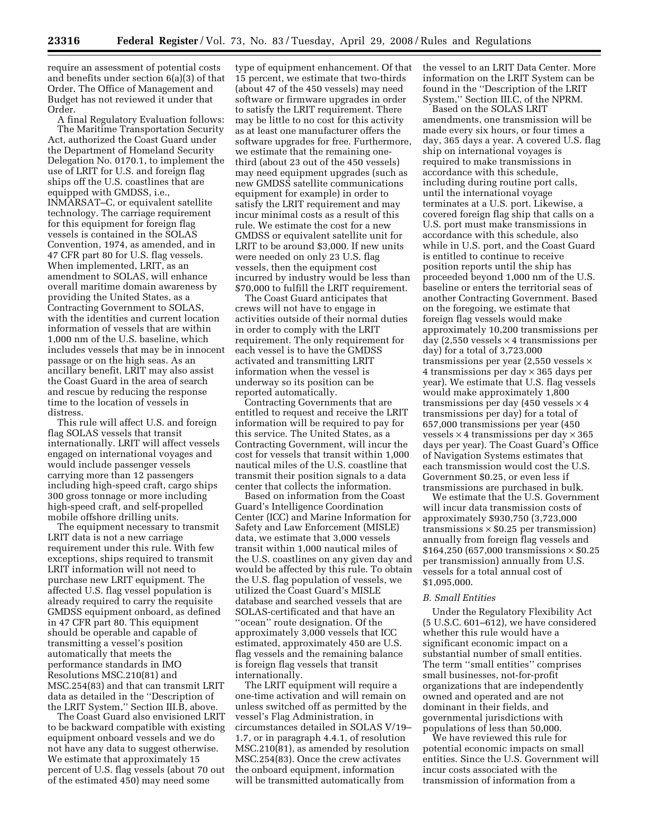require an assessment of potential costs and benefits under section 6(a)(3) of that Order. The Office of Management and Budget has not reviewed it under that Order.

A final Regulatory Evaluation follows: The Maritime Transportation Security Act, authorized the Coast Guard under the Department of Homeland Security Delegation No. 0170.1, to implement the use of LRIT for U.S. and foreign flag ships off the U.S. coastlines that are equipped with GMDSS, i.e., INMARSAT–C, or equivalent satellite technology. The carriage requirement for this equipment for foreign flag vessels is contained in the SOLAS Convention, 1974, as amended, and in 47 CFR part 80 for U.S. flag vessels. When implemented, LRIT, as an amendment to SOLAS, will enhance overall maritime domain awareness by providing the United States, as a Contracting Government to SOLAS, with the identities and current location information of vessels that are within 1,000 nm of the U.S. baseline, which includes vessels that may be in innocent passage or on the high seas. As an ancillary benefit, LRIT may also assist the Coast Guard in the area of search and rescue by reducing the response time to the location of vessels in distress.

This rule will affect U.S. and foreign flag SOLAS vessels that transit internationally. LRIT will affect vessels engaged on international voyages and would include passenger vessels carrying more than 12 passengers including high-speed craft, cargo ships 300 gross tonnage or more including high-speed craft, and self-propelled mobile offshore drilling units.

The equipment necessary to transmit LRIT data is not a new carriage requirement under this rule. With few exceptions, ships required to transmit LRIT information will not need to purchase new LRIT equipment. The affected U.S. flag vessel population is already required to carry the requisite GMDSS equipment onboard, as defined in 47 CFR part 80. This equipment should be operable and capable of transmitting a vessel's position automatically that meets the performance standards in IMO Resolutions MSC.210(81) and MSC.254(83) and that can transmit LRIT data as detailed in the ''Description of the LRIT System,'' Section III.B, above.

The Coast Guard also envisioned LRIT to be backward compatible with existing equipment onboard vessels and we do not have any data to suggest otherwise. We estimate that approximately 15 percent of U.S. flag vessels (about 70 out of the estimated 450) may need some

type of equipment enhancement. Of that 15 percent, we estimate that two-thirds (about 47 of the 450 vessels) may need software or firmware upgrades in order to satisfy the LRIT requirement. There may be little to no cost for this activity as at least one manufacturer offers the software upgrades for free. Furthermore, we estimate that the remaining onethird (about 23 out of the 450 vessels) may need equipment upgrades (such as new GMDSS satellite communications equipment for example) in order to satisfy the LRIT requirement and may incur minimal costs as a result of this rule. We estimate the cost for a new GMDSS or equivalent satellite unit for LRIT to be around \$3,000. If new units were needed on only 23 U.S. flag vessels, then the equipment cost incurred by industry would be less than \$70,000 to fulfill the LRIT requirement.

The Coast Guard anticipates that crews will not have to engage in activities outside of their normal duties in order to comply with the LRIT requirement. The only requirement for each vessel is to have the GMDSS activated and transmitting LRIT information when the vessel is underway so its position can be reported automatically.

Contracting Governments that are entitled to request and receive the LRIT information will be required to pay for this service. The United States, as a Contracting Government, will incur the cost for vessels that transit within 1,000 nautical miles of the U.S. coastline that transmit their position signals to a data center that collects the information.

Based on information from the Coast Guard's Intelligence Coordination Center (ICC) and Marine Information for Safety and Law Enforcement (MISLE) data, we estimate that 3,000 vessels transit within 1,000 nautical miles of the U.S. coastlines on any given day and would be affected by this rule. To obtain the U.S. flag population of vessels, we utilized the Coast Guard's MISLE database and searched vessels that are SOLAS-certificated and that have an ''ocean'' route designation. Of the approximately 3,000 vessels that ICC estimated, approximately 450 are U.S. flag vessels and the remaining balance is foreign flag vessels that transit internationally.

The LRIT equipment will require a one-time activation and will remain on unless switched off as permitted by the vessel's Flag Administration, in circumstances detailed in SOLAS V/19– 1.7, or in paragraph 4.4.1, of resolution MSC.210(81), as amended by resolution MSC.254(83). Once the crew activates the onboard equipment, information will be transmitted automatically from

the vessel to an LRIT Data Center. More information on the LRIT System can be found in the ''Description of the LRIT System,'' Section III.C, of the NPRM.

Based on the SOLAS LRIT amendments, one transmission will be made every six hours, or four times a day, 365 days a year. A covered U.S. flag ship on international voyages is required to make transmissions in accordance with this schedule, including during routine port calls, until the international voyage terminates at a U.S. port. Likewise, a covered foreign flag ship that calls on a U.S. port must make transmissions in accordance with this schedule, also while in U.S. port, and the Coast Guard is entitled to continue to receive position reports until the ship has proceeded beyond 1,000 nm of the U.S. baseline or enters the territorial seas of another Contracting Government. Based on the foregoing, we estimate that foreign flag vessels would make approximately 10,200 transmissions per day  $(2,550$  vessels  $\times$  4 transmissions per day) for a total of 3,723,000 transmissions per year  $(2,550$  vessels  $\times$ 4 transmissions per day × 365 days per year). We estimate that U.S. flag vessels would make approximately 1,800 transmissions per day (450 vessels  $\times$  4 transmissions per day) for a total of 657,000 transmissions per year (450 vessels  $\times$  4 transmissions per day  $\times$  365 days per year). The Coast Guard's Office of Navigation Systems estimates that each transmission would cost the U.S. Government \$0.25, or even less if transmissions are purchased in bulk.

We estimate that the U.S. Government will incur data transmission costs of approximately \$930,750 (3,723,000 transmissions  $\times$  \$0.25 per transmission) annually from foreign flag vessels and  $$164,250$  (657,000 transmissions  $\times $0.25$ per transmission) annually from U.S. vessels for a total annual cost of \$1,095,000.

#### *B. Small Entities*

Under the Regulatory Flexibility Act (5 U.S.C. 601–612), we have considered whether this rule would have a significant economic impact on a substantial number of small entities. The term ''small entities'' comprises small businesses, not-for-profit organizations that are independently owned and operated and are not dominant in their fields, and governmental jurisdictions with populations of less than 50,000.

We have reviewed this rule for potential economic impacts on small entities. Since the U.S. Government will incur costs associated with the transmission of information from a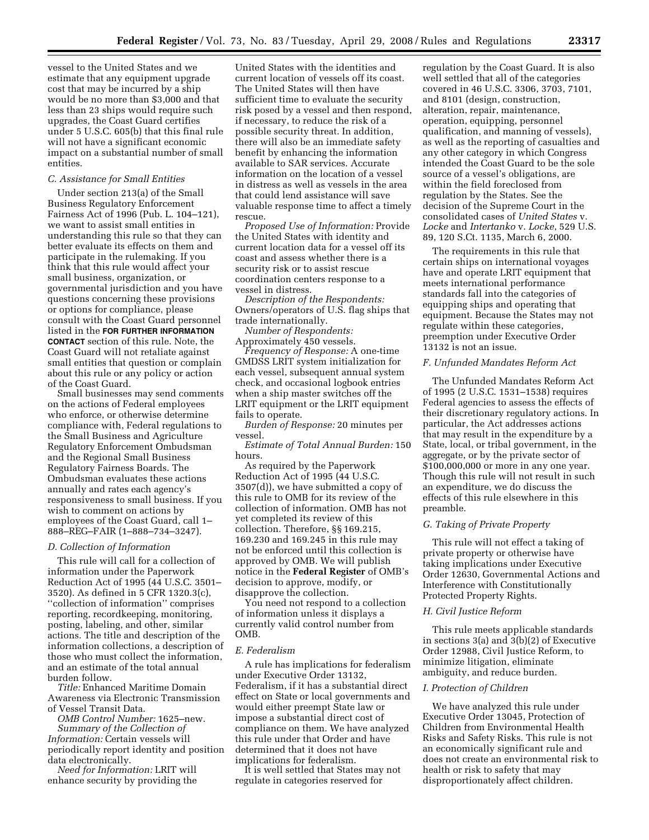vessel to the United States and we estimate that any equipment upgrade cost that may be incurred by a ship would be no more than \$3,000 and that less than 23 ships would require such upgrades, the Coast Guard certifies under 5 U.S.C. 605(b) that this final rule will not have a significant economic impact on a substantial number of small entities.

# *C. Assistance for Small Entities*

Under section 213(a) of the Small Business Regulatory Enforcement Fairness Act of 1996 (Pub. L. 104–121), we want to assist small entities in understanding this rule so that they can better evaluate its effects on them and participate in the rulemaking. If you think that this rule would affect your small business, organization, or governmental jurisdiction and you have questions concerning these provisions or options for compliance, please consult with the Coast Guard personnel listed in the **FOR FURTHER INFORMATION CONTACT** section of this rule. Note, the Coast Guard will not retaliate against small entities that question or complain about this rule or any policy or action of the Coast Guard.

Small businesses may send comments on the actions of Federal employees who enforce, or otherwise determine compliance with, Federal regulations to the Small Business and Agriculture Regulatory Enforcement Ombudsman and the Regional Small Business Regulatory Fairness Boards. The Ombudsman evaluates these actions annually and rates each agency's responsiveness to small business. If you wish to comment on actions by employees of the Coast Guard, call 1– 888–REG–FAIR (1–888–734–3247).

#### *D. Collection of Information*

This rule will call for a collection of information under the Paperwork Reduction Act of 1995 (44 U.S.C. 3501– 3520). As defined in 5 CFR 1320.3(c), ''collection of information'' comprises reporting, recordkeeping, monitoring, posting, labeling, and other, similar actions. The title and description of the information collections, a description of those who must collect the information, and an estimate of the total annual burden follow.

*Title:* Enhanced Maritime Domain Awareness via Electronic Transmission of Vessel Transit Data.

*OMB Control Number:* 1625–new. *Summary of the Collection of Information:* Certain vessels will periodically report identity and position data electronically.

*Need for Information:* LRIT will enhance security by providing the

United States with the identities and current location of vessels off its coast. The United States will then have sufficient time to evaluate the security risk posed by a vessel and then respond, if necessary, to reduce the risk of a possible security threat. In addition, there will also be an immediate safety benefit by enhancing the information available to SAR services. Accurate information on the location of a vessel in distress as well as vessels in the area that could lend assistance will save valuable response time to affect a timely rescue.

*Proposed Use of Information:* Provide the United States with identity and current location data for a vessel off its coast and assess whether there is a security risk or to assist rescue coordination centers response to a vessel in distress.

*Description of the Respondents:*  Owners/operators of U.S. flag ships that trade internationally.

*Number of Respondents:*  Approximately 450 vessels.

*Frequency of Response:* A one-time GMDSS LRIT system initialization for each vessel, subsequent annual system check, and occasional logbook entries when a ship master switches off the LRIT equipment or the LRIT equipment fails to operate.

*Burden of Response:* 20 minutes per vessel.

*Estimate of Total Annual Burden:* 150 hours.

As required by the Paperwork Reduction Act of 1995 (44 U.S.C. 3507(d)), we have submitted a copy of this rule to OMB for its review of the collection of information. OMB has not yet completed its review of this collection. Therefore, §§ 169.215, 169.230 and 169.245 in this rule may not be enforced until this collection is approved by OMB. We will publish notice in the **Federal Register** of OMB's decision to approve, modify, or disapprove the collection.

You need not respond to a collection of information unless it displays a currently valid control number from OMB.

#### *E. Federalism*

A rule has implications for federalism under Executive Order 13132, Federalism, if it has a substantial direct effect on State or local governments and would either preempt State law or impose a substantial direct cost of compliance on them. We have analyzed this rule under that Order and have determined that it does not have implications for federalism.

It is well settled that States may not regulate in categories reserved for

regulation by the Coast Guard. It is also well settled that all of the categories covered in 46 U.S.C. 3306, 3703, 7101, and 8101 (design, construction, alteration, repair, maintenance, operation, equipping, personnel qualification, and manning of vessels), as well as the reporting of casualties and any other category in which Congress intended the Coast Guard to be the sole source of a vessel's obligations, are within the field foreclosed from regulation by the States. See the decision of the Supreme Court in the consolidated cases of *United States* v. *Locke* and *Intertanko* v. *Locke*, 529 U.S. 89, 120 S.Ct. 1135, March 6, 2000.

The requirements in this rule that certain ships on international voyages have and operate LRIT equipment that meets international performance standards fall into the categories of equipping ships and operating that equipment. Because the States may not regulate within these categories, preemption under Executive Order 13132 is not an issue.

# *F. Unfunded Mandates Reform Act*

The Unfunded Mandates Reform Act of 1995 (2 U.S.C. 1531–1538) requires Federal agencies to assess the effects of their discretionary regulatory actions. In particular, the Act addresses actions that may result in the expenditure by a State, local, or tribal government, in the aggregate, or by the private sector of \$100,000,000 or more in any one year. Though this rule will not result in such an expenditure, we do discuss the effects of this rule elsewhere in this preamble.

# *G. Taking of Private Property*

This rule will not effect a taking of private property or otherwise have taking implications under Executive Order 12630, Governmental Actions and Interference with Constitutionally Protected Property Rights.

#### *H. Civil Justice Reform*

This rule meets applicable standards in sections 3(a) and 3(b)(2) of Executive Order 12988, Civil Justice Reform, to minimize litigation, eliminate ambiguity, and reduce burden.

### *I. Protection of Children*

We have analyzed this rule under Executive Order 13045, Protection of Children from Environmental Health Risks and Safety Risks. This rule is not an economically significant rule and does not create an environmental risk to health or risk to safety that may disproportionately affect children.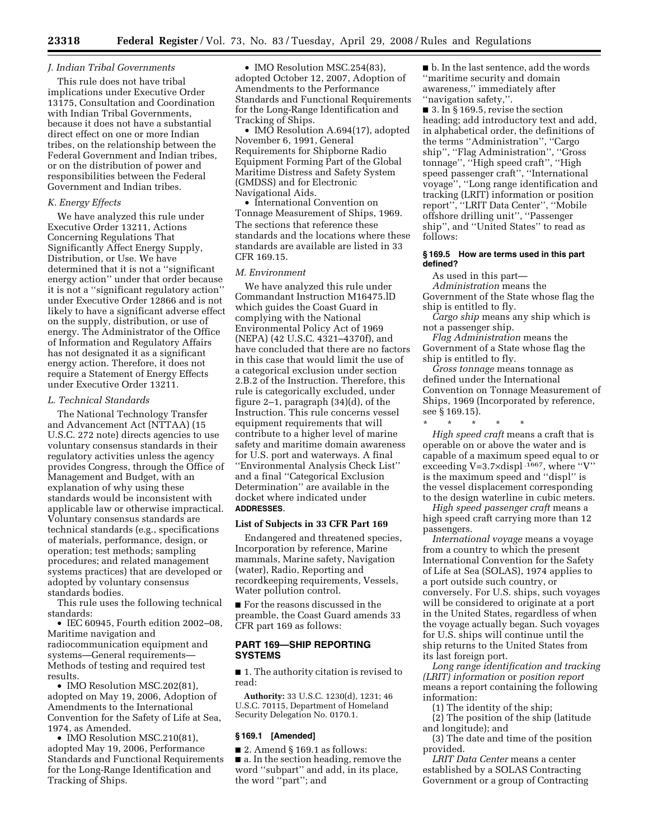### *J. Indian Tribal Governments*

This rule does not have tribal implications under Executive Order 13175, Consultation and Coordination with Indian Tribal Governments, because it does not have a substantial direct effect on one or more Indian tribes, on the relationship between the Federal Government and Indian tribes, or on the distribution of power and responsibilities between the Federal Government and Indian tribes.

#### *K. Energy Effects*

We have analyzed this rule under Executive Order 13211, Actions Concerning Regulations That Significantly Affect Energy Supply, Distribution, or Use. We have determined that it is not a ''significant energy action'' under that order because it is not a ''significant regulatory action'' under Executive Order 12866 and is not likely to have a significant adverse effect on the supply, distribution, or use of energy. The Administrator of the Office of Information and Regulatory Affairs has not designated it as a significant energy action. Therefore, it does not require a Statement of Energy Effects under Executive Order 13211.

### *L. Technical Standards*

The National Technology Transfer and Advancement Act (NTTAA) (15 U.S.C. 272 note) directs agencies to use voluntary consensus standards in their regulatory activities unless the agency provides Congress, through the Office of Management and Budget, with an explanation of why using these standards would be inconsistent with applicable law or otherwise impractical. Voluntary consensus standards are technical standards (e.g., specifications of materials, performance, design, or operation; test methods; sampling procedures; and related management systems practices) that are developed or adopted by voluntary consensus standards bodies.

This rule uses the following technical standards:

• IEC 60945, Fourth edition 2002–08, Maritime navigation and radiocommunication equipment and systems—General requirements— Methods of testing and required test results.

• IMO Resolution MSC.202(81), adopted on May 19, 2006, Adoption of Amendments to the International Convention for the Safety of Life at Sea, 1974, as Amended.

• IMO Resolution MSC.210(81), adopted May 19, 2006, Performance Standards and Functional Requirements for the Long-Range Identification and Tracking of Ships.

• IMO Resolution MSC.254(83), adopted October 12, 2007, Adoption of Amendments to the Performance Standards and Functional Requirements for the Long-Range Identification and Tracking of Ships.

• IMO Resolution A.694(17), adopted November 6, 1991, General Requirements for Shipborne Radio Equipment Forming Part of the Global Maritime Distress and Safety System (GMDSS) and for Electronic Navigational Aids.

• International Convention on Tonnage Measurement of Ships, 1969. The sections that reference these standards and the locations where these standards are available are listed in 33 CFR 169.15.

### *M. Environment*

We have analyzed this rule under Commandant Instruction M16475.lD which guides the Coast Guard in complying with the National Environmental Policy Act of 1969 (NEPA) (42 U.S.C. 4321–4370f), and have concluded that there are no factors in this case that would limit the use of a categorical exclusion under section 2.B.2 of the Instruction. Therefore, this rule is categorically excluded, under figure 2–1, paragraph (34)(d), of the Instruction. This rule concerns vessel equipment requirements that will contribute to a higher level of marine safety and maritime domain awareness for U.S. port and waterways. A final ''Environmental Analysis Check List'' and a final ''Categorical Exclusion Determination'' are available in the docket where indicated under **ADDRESSES**.

# **List of Subjects in 33 CFR Part 169**

Endangered and threatened species, Incorporation by reference, Marine mammals, Marine safety, Navigation (water), Radio, Reporting and recordkeeping requirements, Vessels, Water pollution control.

■ For the reasons discussed in the preamble, the Coast Guard amends 33 CFR part 169 as follows:

# **PART 169—SHIP REPORTING SYSTEMS**

■ 1. The authority citation is revised to read:

**Authority:** 33 U.S.C. 1230(d), 1231; 46 U.S.C. 70115, Department of Homeland Security Delegation No. 0170.1.

### **§ 169.1 [Amended]**

 $\blacksquare$  2. Amend § 169.1 as follows: ■ a. In the section heading, remove the word ''subpart'' and add, in its place, the word ''part''; and

■ b. In the last sentence, add the words ''maritime security and domain awareness,'' immediately after ''navigation safety,''.

 $\blacksquare$  3. In § 169.5, revise the section heading; add introductory text and add, in alphabetical order, the definitions of the terms ''Administration'', ''Cargo ship'', ''Flag Administration'', ''Gross tonnage'', ''High speed craft'', ''High speed passenger craft'', ''International voyage'', ''Long range identification and tracking (LRIT) information or position report'', ''LRIT Data Center'', ''Mobile offshore drilling unit'', ''Passenger ship'', and ''United States'' to read as follows:

#### **§ 169.5 How are terms used in this part defined?**

As used in this part— *Administration* means the Government of the State whose flag the ship is entitled to fly.

*Cargo ship* means any ship which is not a passenger ship.

*Flag Administration* means the Government of a State whose flag the ship is entitled to fly.

*Gross tonnage* means tonnage as defined under the International Convention on Tonnage Measurement of Ships, 1969 (Incorporated by reference, see § 169.15).

\* \* \* \* \* *High speed craft* means a craft that is operable on or above the water and is capable of a maximum speed equal to or exceeding V=3.7×displ .1667, where ''V'' is the maximum speed and ''displ'' is the vessel displacement corresponding to the design waterline in cubic meters.

*High speed passenger craft* means a high speed craft carrying more than 12 passengers.

*International voyage* means a voyage from a country to which the present International Convention for the Safety of Life at Sea (SOLAS), 1974 applies to a port outside such country, or conversely. For U.S. ships, such voyages will be considered to originate at a port in the United States, regardless of when the voyage actually began. Such voyages for U.S. ships will continue until the ship returns to the United States from its last foreign port.

*Long range identification and tracking (LRIT) information* or *position report*  means a report containing the following information:

(1) The identity of the ship;

(2) The position of the ship (latitude and longitude); and

(3) The date and time of the position provided.

*LRIT Data Center* means a center established by a SOLAS Contracting Government or a group of Contracting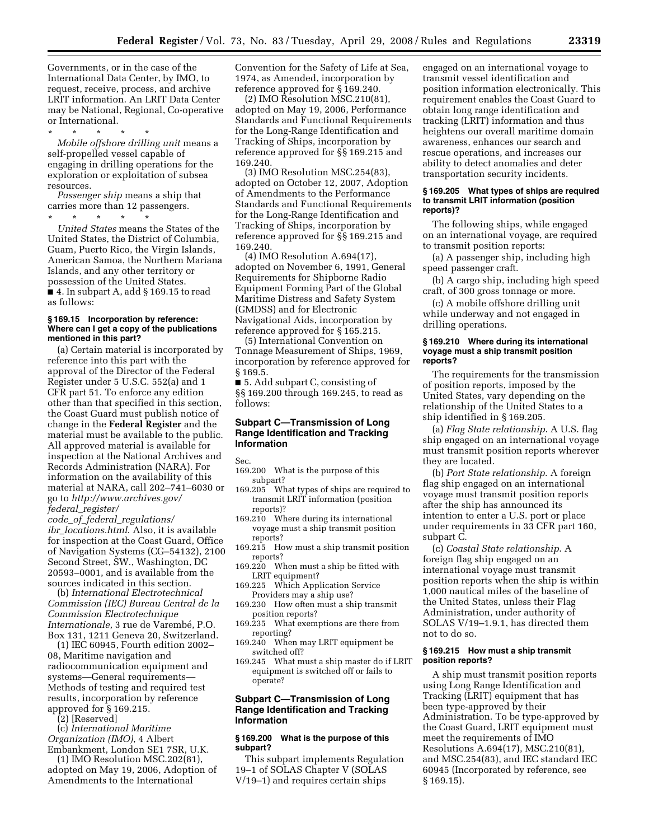Governments, or in the case of the International Data Center, by IMO, to request, receive, process, and archive LRIT information. An LRIT Data Center may be National, Regional, Co-operative or International.

\* \* \* \* \* *Mobile offshore drilling unit* means a self-propelled vessel capable of engaging in drilling operations for the exploration or exploitation of subsea resources.

*Passenger ship* means a ship that carries more than 12 passengers. \* \* \* \* \*

*United States* means the States of the United States, the District of Columbia, Guam, Puerto Rico, the Virgin Islands, American Samoa, the Northern Mariana Islands, and any other territory or possession of the United States. ■ 4. In subpart A, add § 169.15 to read as follows:

#### **§ 169.15 Incorporation by reference: Where can I get a copy of the publications mentioned in this part?**

(a) Certain material is incorporated by reference into this part with the approval of the Director of the Federal Register under 5 U.S.C. 552(a) and 1 CFR part 51. To enforce any edition other than that specified in this section, the Coast Guard must publish notice of change in the **Federal Register** and the material must be available to the public. All approved material is available for inspection at the National Archives and Records Administration (NARA). For information on the availability of this material at NARA, call 202–741–6030 or go to *http://www.archives.gov/ federal*\_*register/* 

*code*\_*of*\_*federal*\_*regulations/ ibr*\_*locations.html*. Also, it is available for inspection at the Coast Guard, Office of Navigation Systems (CG–54132), 2100 Second Street, SW., Washington, DC 20593–0001, and is available from the sources indicated in this section.

(b) *International Electrotechnical Commission (IEC) Bureau Central de la Commission Electrotechnique Internationale*, 3 rue de Varembé, P.O. Box 131, 1211 Geneva 20, Switzerland.

(1) IEC 60945, Fourth edition 2002– 08, Maritime navigation and radiocommunication equipment and systems—General requirements— Methods of testing and required test results, incorporation by reference approved for § 169.215.

(2) [Reserved]

(c) *International Maritime Organization (IMO)*, 4 Albert Embankment, London SE1 7SR, U.K.

(1) IMO Resolution MSC.202(81), adopted on May 19, 2006, Adoption of Amendments to the International

Convention for the Safety of Life at Sea, 1974, as Amended, incorporation by reference approved for § 169.240.

(2) IMO Resolution MSC.210(81), adopted on May 19, 2006, Performance Standards and Functional Requirements for the Long-Range Identification and Tracking of Ships, incorporation by reference approved for §§ 169.215 and 169.240.

(3) IMO Resolution MSC.254(83), adopted on October 12, 2007, Adoption of Amendments to the Performance Standards and Functional Requirements for the Long-Range Identification and Tracking of Ships, incorporation by reference approved for §§ 169.215 and 169.240.

(4) IMO Resolution A.694(17), adopted on November 6, 1991, General Requirements for Shipborne Radio Equipment Forming Part of the Global Maritime Distress and Safety System (GMDSS) and for Electronic Navigational Aids, incorporation by reference approved for § 165.215.

(5) International Convention on Tonnage Measurement of Ships, 1969, incorporation by reference approved for § 169.5.

■ 5. Add subpart C, consisting of §§ 169.200 through 169.245, to read as follows:

# **Subpart C—Transmission of Long Range Identification and Tracking Information**

Sec.

- 169.200 What is the purpose of this subpart?
- 169.205 What types of ships are required to transmit LRIT information (position reports)?
- 169.210 Where during its international voyage must a ship transmit position reports?
- 169.215 How must a ship transmit position reports?
- 169.220 When must a ship be fitted with LRIT equipment?
- 169.225 Which Application Service Providers may a ship use?
- 169.230 How often must a ship transmit position reports?
- 169.235 What exemptions are there from reporting?
- 169.240 When may LRIT equipment be switched off?
- 169.245 What must a ship master do if LRIT equipment is switched off or fails to operate?

# **Subpart C—Transmission of Long Range Identification and Tracking Information**

### **§ 169.200 What is the purpose of this subpart?**

This subpart implements Regulation 19–1 of SOLAS Chapter V (SOLAS V/19–1) and requires certain ships

engaged on an international voyage to transmit vessel identification and position information electronically. This requirement enables the Coast Guard to obtain long range identification and tracking (LRIT) information and thus heightens our overall maritime domain awareness, enhances our search and rescue operations, and increases our ability to detect anomalies and deter transportation security incidents.

#### **§ 169.205 What types of ships are required to transmit LRIT information (position reports)?**

The following ships, while engaged on an international voyage, are required to transmit position reports:

(a) A passenger ship, including high speed passenger craft.

(b) A cargo ship, including high speed craft, of 300 gross tonnage or more.

(c) A mobile offshore drilling unit while underway and not engaged in drilling operations.

#### **§ 169.210 Where during its international voyage must a ship transmit position reports?**

The requirements for the transmission of position reports, imposed by the United States, vary depending on the relationship of the United States to a ship identified in § 169.205.

(a) *Flag State relationship*. A U.S. flag ship engaged on an international voyage must transmit position reports wherever they are located.

(b) *Port State relationship*. A foreign flag ship engaged on an international voyage must transmit position reports after the ship has announced its intention to enter a U.S. port or place under requirements in 33 CFR part 160, subpart C.

(c) *Coastal State relationship*. A foreign flag ship engaged on an international voyage must transmit position reports when the ship is within 1,000 nautical miles of the baseline of the United States, unless their Flag Administration, under authority of SOLAS V/19–1.9.1, has directed them not to do so.

# **§ 169.215 How must a ship transmit position reports?**

A ship must transmit position reports using Long Range Identification and Tracking (LRIT) equipment that has been type-approved by their Administration. To be type-approved by the Coast Guard, LRIT equipment must meet the requirements of IMO Resolutions A.694(17), MSC.210(81), and MSC.254(83), and IEC standard IEC 60945 (Incorporated by reference, see § 169.15).